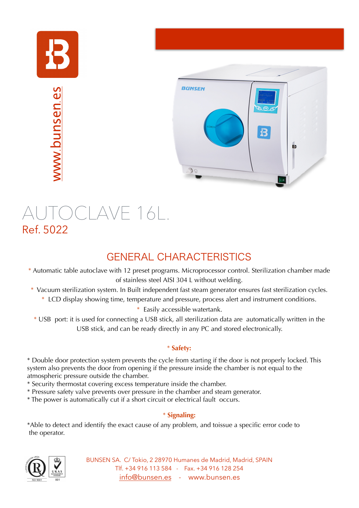



# AUTOCLAVE 16L.<br>Ref. 5022

## GENERAL CHARACTERISTICS

- \* Automatic table autoclave with 12 preset programs. Microprocessor control. Sterilization chamber made of stainless steel AISI 304 L without welding.
- \* Vacuum sterilization system. In Built independent fast steam generator ensures fast sterilization cycles.
	- \* LCD display showing time, temperature and pressure, process alert and instrument conditions.
		- \* Easily accessible watertank.
- \* USB port: it is used for connecting a USB stick, all sterilization data are automatically written in the USB stick, and can be ready directly in any PC and stored electronically.

### \* **Safety:**

\* Double door protection system prevents the cycle from starting if the door is not properly locked. This system also prevents the door from opening if the pressure inside the chamber is not equal to the atmospheric pressure outside the chamber.

- \* Security thermostat covering excess temperature inside the chamber.
- \* Pressure safety valve prevents over pressure in the chamber and steam generator.
- \* The power is automatically cut if a short circuit or electrical fault occurs.

### \* **Signaling:**

\*Able to detect and identify the exact cause of any problem, and toissue a specific error code to the operator.



BUNSEN SA. C/ Tokio, 2 28970 Humanes de Madrid, Madrid, SPAIN Tlf. +34 916 113 584 - Fax. +34 916 128 254 [info@bunsen.es](mailto:info@bunsen.es) - www.bunsen.es